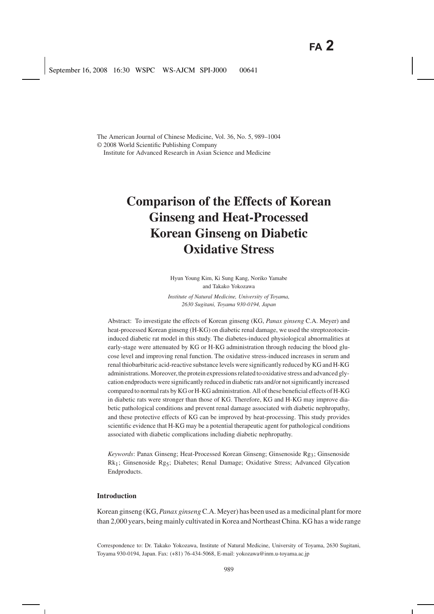The American Journal of Chinese Medicine, Vol. 36, No. 5, 989–1004 © 2008 World Scientific Publishing Company Institute for Advanced Research in Asian Science and Medicine

# **Comparison of the Effects of Korean Ginseng and Heat-Processed Korean Ginseng on Diabetic Oxidative Stress**

Hyun Young Kim, Ki Sung Kang, Noriko Yamabe and Takako Yokozawa

*Institute of Natural Medicine, University of Toyama, 2630 Sugitani, Toyama 930-0194, Japan*

Abstract: To investigate the effects of Korean ginseng (KG, *Panax ginseng* C.A. Meyer) and heat-processed Korean ginseng (H-KG) on diabetic renal damage, we used the streptozotocininduced diabetic rat model in this study. The diabetes-induced physiological abnormalities at early-stage were attenuated by KG or H-KG administration through reducing the blood glucose level and improving renal function. The oxidative stress-induced increases in serum and renal thiobarbituric acid-reactive substance levels were significantly reduced by KG and H-KG administrations. Moreover, the protein expressions related to oxidative stress and advanced glycation endproducts were significantly reduced in diabetic rats and/or not significantly increased compared to normal rats by KG or H-KG administration. All of these beneficial effects of H-KG in diabetic rats were stronger than those of KG. Therefore, KG and H-KG may improve diabetic pathological conditions and prevent renal damage associated with diabetic nephropathy, and these protective effects of KG can be improved by heat-processing. This study provides scientific evidence that H-KG may be a potential therapeutic agent for pathological conditions associated with diabetic complications including diabetic nephropathy.

*Keywords*: Panax Ginseng; Heat-Processed Korean Ginseng; Ginsenoside Rg3; Ginsenoside Rk1; Ginsenoside Rg5; Diabetes; Renal Damage; Oxidative Stress; Advanced Glycation Endproducts.

# **Introduction**

Korean ginseng (KG, *Panax ginseng*C.A. Meyer) has been used as a medicinal plant for more than 2,000 years, being mainly cultivated in Korea and Northeast China. KG has a wide range

Correspondence to: Dr. Takako Yokozawa, Institute of Natural Medicine, University of Toyama, 2630 Sugitani, Toyama 930-0194, Japan. Fax: (+81) 76-434-5068, E-mail: yokozawa@inm.u-toyama.ac.jp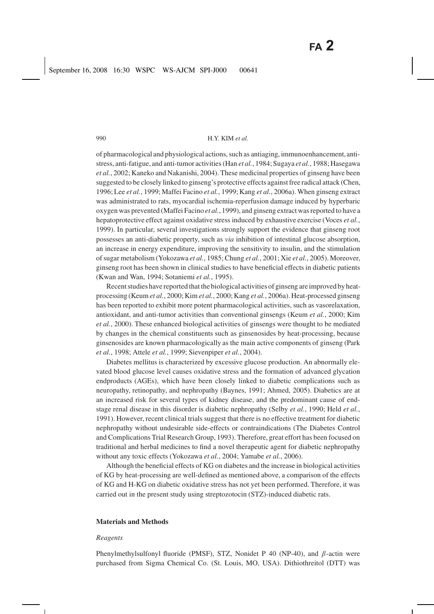of pharmacological and physiological actions, such as antiaging, immunoenhancement,antistress, anti-fatigue, and anti-tumor activities (Han *et al.*, 1984; Sugaya *et al.*, 1988; Hasegawa *et al.*, 2002; Kaneko and Nakanishi, 2004). These medicinal properties of ginseng have been suggested to be closely linked to ginseng's protective effects against free radical attack (Chen, 1996; Lee *et al.*, 1999; Maffei Facino *et al.*, 1999; Kang *et al.*, 2006a). When ginseng extract was administrated to rats, myocardial ischemia-reperfusion damage induced by hyperbaric oxygen was prevented (Maffei Facino *et al.*, 1999), and ginseng extract was reported to have a hepatoprotective effect against oxidative stress induced by exhaustive exercise (Voces *et al.*, 1999). In particular, several investigations strongly support the evidence that ginseng root possesses an anti-diabetic property, such as *via* inhibition of intestinal glucose absorption, an increase in energy expenditure, improving the sensitivity to insulin, and the stimulation of sugar metabolism (Yokozawa *et al.*, 1985; Chung *et al.*, 2001; Xie *et al.*, 2005). Moreover, ginseng root has been shown in clinical studies to have beneficial effects in diabetic patients (Kwan and Wan, 1994; Sotaniemi *et al.*, 1995).

Recent studies have reported that the biological activities of ginseng are improved by heatprocessing (Keum *et al.*, 2000; Kim *et al.*, 2000; Kang *et al.*, 2006a). Heat-processed ginseng has been reported to exhibit more potent pharmacological activities, such as vasorelaxation, antioxidant, and anti-tumor activities than conventional ginsengs (Keum *et al.*, 2000; Kim *et al.*, 2000). These enhanced biological activities of ginsengs were thought to be mediated by changes in the chemical constituents such as ginsenosides by heat-processing, because ginsenosides are known pharmacologically as the main active components of ginseng (Park *et al.*, 1998; Attele *et al.*, 1999; Sievenpiper *et al.*, 2004).

Diabetes mellitus is characterized by excessive glucose production. An abnormally elevated blood glucose level causes oxidative stress and the formation of advanced glycation endproducts (AGEs), which have been closely linked to diabetic complications such as neuropathy, retinopathy, and nephropathy (Baynes, 1991; Ahmed, 2005). Diabetics are at an increased risk for several types of kidney disease, and the predominant cause of endstage renal disease in this disorder is diabetic nephropathy (Selby *et al.*, 1990; Held *et al.*, 1991). However, recent clinical trials suggest that there is no effective treatment for diabetic nephropathy without undesirable side-effects or contraindications (The Diabetes Control and Complications Trial Research Group, 1993). Therefore, great effort has been focused on traditional and herbal medicines to find a novel therapeutic agent for diabetic nephropathy without any toxic effects (Yokozawa *et al.*, 2004; Yamabe *et al.*, 2006).

Although the beneficial effects of KG on diabetes and the increase in biological activities of KG by heat-processing are well-defined as mentioned above, a comparison of the effects of KG and H-KG on diabetic oxidative stress has not yet been performed. Therefore, it was carried out in the present study using streptozotocin (STZ)-induced diabetic rats.

#### **Materials and Methods**

#### *Reagents*

Phenylmethylsulfonyl fluoride (PMSF), STZ, Nonidet P 40 (NP-40), and  $\beta$ -actin were purchased from Sigma Chemical Co. (St. Louis, MO, USA). Dithiothreitol (DTT) was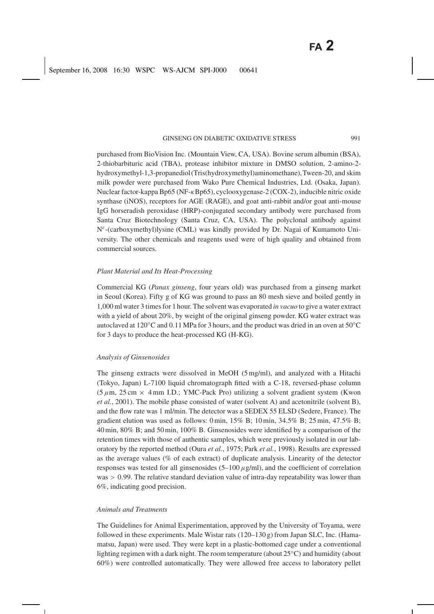purchased from BioVision Inc. (Mountain View, CA, USA). Bovine serum albumin (BSA), 2-thiobarbituric acid (TBA), protease inhibitor mixture in DMSO solution, 2-amino-2 hydroxymethyl-1,3-propanediol(Tris(hydroxymethyl)aminomethane),Tween-20, and skim milk powder were purchased from Wako Pure Chemical Industries, Ltd. (Osaka, Japan). Nuclear factor-kappa Bp65 (NF-κBp65), cyclooxygenase-2 (COX-2), inducible nitric oxide synthase (iNOS), receptors for AGE (RAGE), and goat anti-rabbit and/or goat anti-mouse IgG horseradish peroxidase (HRP)-conjugated secondary antibody were purchased from Santa Cruz Biotechnology (Santa Cruz, CA, USA). The polyclonal antibody against Nε-(carboxymethyl)lysine (CML) was kindly provided by Dr. Nagai of Kumamoto University. The other chemicals and reagents used were of high quality and obtained from commercial sources.

## *Plant Material and Its Heat-Processing*

Commercial KG (*Panax ginseng*, four years old) was purchased from a ginseng market in Seoul (Korea). Fifty g of KG was ground to pass an 80 mesh sieve and boiled gently in 1,000 ml water 3 times for 1 hour. The solvent was evaporated *in vacuo* to give a water extract with a yield of about 20%, by weight of the original ginseng powder. KG water extract was autoclaved at 120 $\rm{°C}$  and 0.11 MPa for 3 hours, and the product was dried in an oven at 50 $\rm{°C}$ for 3 days to produce the heat-processed KG (H-KG).

#### *Analysis of Ginsenosides*

The ginseng extracts were dissolved in MeOH (5 mg/ml), and analyzed with a Hitachi (Tokyo, Japan) L-7100 liquid chromatograph fitted with a C-18, reversed-phase column  $(5 \mu m, 25 \text{ cm} \times 4 \text{ mm } I.D.$ ; YMC-Pack Pro) utilizing a solvent gradient system (Kwon *et al.*, 2001). The mobile phase consisted of water (solvent A) and acetonitrile (solvent B), and the flow rate was 1 ml/min. The detector was a SEDEX 55 ELSD (Sedere, France). The gradient elution was used as follows: 0 min, 15% B; 10 min, 34.5% B; 25 min, 47.5% B; 40 min, 80% B; and 50 min, 100% B. Ginsenosides were identified by a comparison of the retention times with those of authentic samples, which were previously isolated in our laboratory by the reported method (Oura *et al.*, 1975; Park *et al.*, 1998). Results are expressed as the average values (% of each extract) of duplicate analysis. Linearity of the detector responses was tested for all ginsenosides  $(5-100 \mu g/ml)$ , and the coefficient of correlation  $was > 0.99$ . The relative standard deviation value of intra-day repeatability was lower than 6%, indicating good precision.

#### *Animals and Treatments*

The Guidelines for Animal Experimentation, approved by the University of Toyama, were followed in these experiments. Male Wistar rats (120–130 g) from Japan SLC, Inc. (Hamamatsu, Japan) were used. They were kept in a plastic-bottomed cage under a conventional lighting regimen with a dark night. The room temperature (about 25◦C) and humidity (about 60%) were controlled automatically. They were allowed free access to laboratory pellet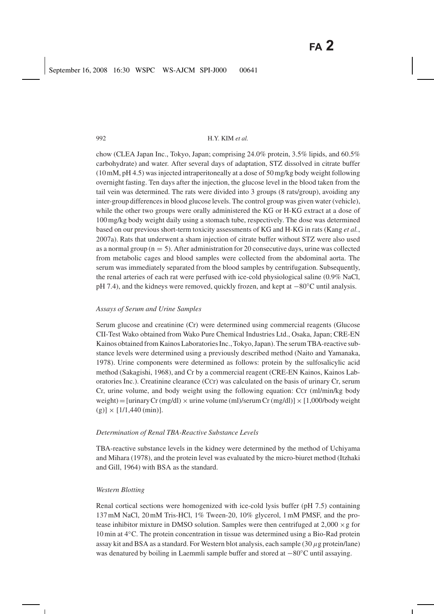chow (CLEA Japan Inc., Tokyo, Japan; comprising 24.0% protein, 3.5% lipids, and 60.5% carbohydrate) and water. After several days of adaptation, STZ dissolved in citrate buffer (10 mM, pH 4.5) was injected intraperitoneally at a dose of 50 mg/kg body weight following overnight fasting. Ten days after the injection, the glucose level in the blood taken from the tail vein was determined. The rats were divided into 3 groups (8 rats/group), avoiding any inter-group differences in blood glucose levels. The control group was given water (vehicle), while the other two groups were orally administered the KG or H-KG extract at a dose of 100 mg/kg body weight daily using a stomach tube, respectively. The dose was determined based on our previous short-term toxicity assessments of KG and H-KG in rats (Kang *et al.*, 2007a). Rats that underwent a sham injection of citrate buffer without STZ were also used as a normal group ( $n = 5$ ). After administration for 20 consecutive days, urine was collected from metabolic cages and blood samples were collected from the abdominal aorta. The serum was immediately separated from the blood samples by centrifugation. Subsequently, the renal arteries of each rat were perfused with ice-cold physiological saline (0.9% NaCl, pH 7.4), and the kidneys were removed, quickly frozen, and kept at −80◦C until analysis.

#### *Assays of Serum and Urine Samples*

Serum glucose and creatinine (Cr) were determined using commercial reagents (Glucose CII-Test Wako obtained from Wako Pure Chemical Industries Ltd., Osaka, Japan; CRE-EN Kainos obtained from Kainos Laboratories Inc., Tokyo, Japan). The serum TBA-reactive substance levels were determined using a previously described method (Naito and Yamanaka, 1978). Urine components were determined as follows: protein by the sulfosalicylic acid method (Sakagishi, 1968), and Cr by a commercial reagent (CRE-EN Kainos, Kainos Laboratories Inc.). Creatinine clearance (CCr) was calculated on the basis of urinary Cr, serum Cr, urine volume, and body weight using the following equation: CCr (ml/min/kg body weight) = [urinary Cr (mg/dl)  $\times$  urine volume (ml)/serum Cr (mg/dl)]  $\times$  [1,000/body weight  $(g)$ ] × [1/1,440 (min)].

## *Determination of Renal TBA-Reactive Substance Levels*

TBA-reactive substance levels in the kidney were determined by the method of Uchiyama and Mihara (1978), and the protein level was evaluated by the micro-biuret method (Itzhaki and Gill, 1964) with BSA as the standard.

#### *Western Blotting*

Renal cortical sections were homogenized with ice-cold lysis buffer (pH 7.5) containing 137 mM NaCl, 20 mM Tris-HCl, 1% Tween-20, 10% glycerol, 1 mM PMSF, and the protease inhibitor mixture in DMSO solution. Samples were then centrifuged at  $2,000 \times g$  for 10 min at 4◦C. The protein concentration in tissue was determined using a Bio-Rad protein assay kit and BSA as a standard. For Western blot analysis, each sample  $(30 \mu g$  protein/lane) was denatured by boiling in Laemmli sample buffer and stored at −80◦C until assaying.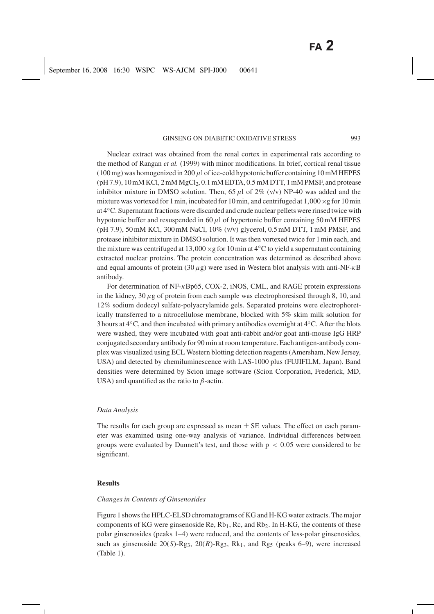Nuclear extract was obtained from the renal cortex in experimental rats according to the method of Rangan *et al.* (1999) with minor modifications. In brief, cortical renal tissue (100 mg) was homogenized in 200  $\mu$ l of ice-cold hypotonic buffer containing 10 mM HEPES  $(pH 7.9)$ ,  $10$  mM KCl,  $2$  mM  $MgCl<sub>2</sub>$ ,  $0.1$  mM EDTA,  $0.5$  mM DTT,  $1$  mM PMSF, and protease inhibitor mixture in DMSO solution. Then, 65  $\mu$ l of 2% (v/v) NP-40 was added and the mixture was vortexed for 1 min, incubated for 10 min, and centrifuged at  $1,000 \times g$  for 10 min at 4◦C. Supernatant fractions were discarded and crude nuclear pellets were rinsed twice with hypotonic buffer and resuspended in  $60 \mu l$  of hypertonic buffer containing 50 mM HEPES (pH 7.9), 50 mM KCl, 300 mM NaCl,  $10\%$  (v/v) glycerol, 0.5 mM DTT, 1 mM PMSF, and protease inhibitor mixture in DMSO solution. It was then vortexed twice for 1 min each, and the mixture was centrifuged at 13,000  $\times$  g for 10 min at 4 $°C$  to yield a supernatant containing extracted nuclear proteins. The protein concentration was determined as described above and equal amounts of protein (30  $\mu$ g) were used in Western blot analysis with anti-NF- $\kappa$ B antibody.

For determination of NF- $\kappa$ Bp65, COX-2, iNOS, CML, and RAGE protein expressions in the kidney, 30  $\mu$ g of protein from each sample was electrophoresised through 8, 10, and 12% sodium dodecyl sulfate-polyacrylamide gels. Separated proteins were electrophoretically transferred to a nitrocellulose membrane, blocked with 5% skim milk solution for 3 hours at 4◦C, and then incubated with primary antibodies overnight at 4◦C. After the blots were washed, they were incubated with goat anti-rabbit and/or goat anti-mouse IgG HRP conjugated secondary antibody for 90 min at room temperature. Each antigen-antibody complex was visualized using ECL Western blotting detection reagents (Amersham, New Jersey, USA) and detected by chemiluminescence with LAS-1000 plus (FUJIFILM, Japan). Band densities were determined by Scion image software (Scion Corporation, Frederick, MD, USA) and quantified as the ratio to  $\beta$ -actin.

#### *Data Analysis*

The results for each group are expressed as mean  $\pm$  SE values. The effect on each parameter was examined using one-way analysis of variance. Individual differences between groups were evaluated by Dunnett's test, and those with  $p < 0.05$  were considered to be significant.

#### **Results**

### *Changes in Contents of Ginsenosides*

Figure 1 shows the HPLC-ELSD chromatograms of KG and H-KG water extracts. The major components of KG were ginsenoside Re,  $Rb_1$ , Rc, and  $Rb_2$ . In H-KG, the contents of these polar ginsenosides (peaks 1–4) were reduced, and the contents of less-polar ginsenosides, such as ginsenoside  $20(S)$ -Rg<sub>3</sub>,  $20(R)$ -Rg<sub>3</sub>, Rk<sub>1</sub>, and Rg<sub>5</sub> (peaks 6–9), were increased (Table 1).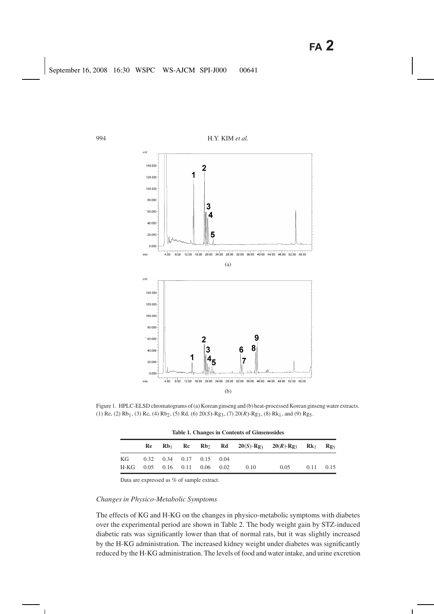

Figure 1. HPLC-ELSD chromatograms of (a) Korean ginseng and (b) heat-processed Korean ginseng water extracts. (1) Re, (2) Rb<sub>1</sub>, (3) Rc, (4) Rb<sub>2</sub>, (5) Rd, (6) 20(*S*)-Rg<sub>3</sub>, (7) 20(*R*)-Rg<sub>3</sub>, (8) Rk<sub>1</sub>, and (9) Rg<sub>5</sub>.

|      |    |                                    |      |      | Table 1. Changes in Contents of Ginsenosides |                                                                                   |      |                   |
|------|----|------------------------------------|------|------|----------------------------------------------|-----------------------------------------------------------------------------------|------|-------------------|
|      | Re | $Rb_1$                             |      |      |                                              | Rc Rb <sub>2</sub> Rd 20(S)-Rg <sub>3</sub> 20(R)-Rg <sub>3</sub> Rk <sub>1</sub> |      | $\mathbf{Rg}_{5}$ |
| KG   |    | $0.32$ $0.34$ $0.17$ $0.15$ $0.04$ |      |      |                                              |                                                                                   |      |                   |
| H-KG |    | $0.05$ $0.16$ $0.11$               | 0.06 | 0.02 | 0.10                                         | 0.05                                                                              | 0.11 | 0.15              |

**Table 1. Changes in Contents of Ginsenosides**

Data are expressed as % of sample extract.

### *Changes in Physico-Metabolic Symptoms*

The effects of KG and H-KG on the changes in physico-metabolic symptoms with diabetes over the experimental period are shown in Table 2. The body weight gain by STZ-induced diabetic rats was significantly lower than that of normal rats, but it was slightly increased by the H-KG administration. The increased kidney weight under diabetes was significantly reduced by the H-KG administration. The levels of food and water intake, and urine excretion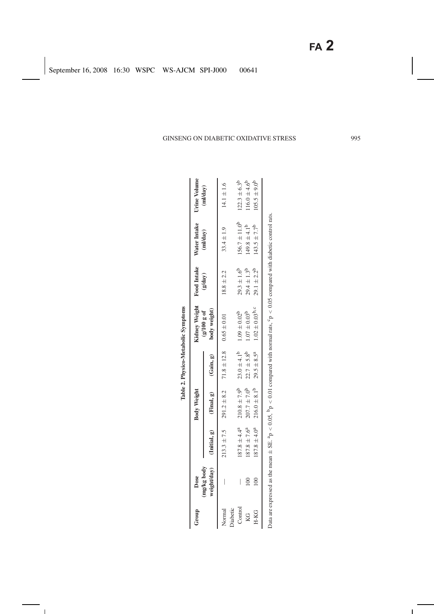|          |                 |                   |                                                                 |                        | Table 2. Physico-Metabolic Symptoms                                                                                                                    |                    |                         |                         |
|----------|-----------------|-------------------|-----------------------------------------------------------------|------------------------|--------------------------------------------------------------------------------------------------------------------------------------------------------|--------------------|-------------------------|-------------------------|
| Group    | Dose            |                   | Body Weight                                                     |                        | Kidney Weight Food Intake                                                                                                                              |                    | Water Intake            | Urine Volume            |
|          | (mg/kg body     |                   | weight/day) (Initial, g) $(Final, g)$ (Gain, g)                 |                        | body weight)<br>(g/100 g of                                                                                                                            | (gday)             | (ml/day)                | (m1/day)                |
| Normal   |                 |                   | $213.3 \pm 7.5$ $291.2 \pm 8.2$ $71.8 \pm 12.8$ $0.65 \pm 0.01$ |                        |                                                                                                                                                        | $18.8 \pm 2.2$     | $33.4 \pm 1.9$          | $14.1 \pm 1.6$          |
| Diabetic |                 |                   |                                                                 |                        |                                                                                                                                                        |                    |                         |                         |
| Control  |                 | $187.8 \pm 4.4^a$ | $210.8 \pm 7.9^{\rm b}$                                         | $23.0 \pm 4.1^{\rm b}$ | $1.09 \pm 0.02^{b}$                                                                                                                                    | $29.3 \pm 1.6^{b}$ | $156.7 \pm 11.0^b$      | $122.3 \pm 6.3^b$       |
| KG       | $\approx 0$     | $187.8 \pm 7.6^a$ | $207.7 \pm 7.0^{\circ}$                                         | $22.7 \pm 5.8^{\rm b}$ | $1.07 \pm 0.03^{b}$                                                                                                                                    | $29.4 \pm 1.3^{b}$ | $(49.8 \pm 4.1^{b}$     | $116.0 \pm 4.6^{\circ}$ |
| H-KG     | $\frac{100}{2}$ |                   | $187.8 \pm 4.0^a$ 216.0 $\pm 8.1^b$                             | $29.5 \pm 8.5^{a}$     | $1.02 \pm 0.03^{b,c}$                                                                                                                                  | $29.1 \pm 2.2^{b}$ | $143.5 \pm 7.7^{\circ}$ | $105.5 \pm 9.0^b$       |
|          |                 |                   |                                                                 |                        | Data are expressed as the mean $\pm$ SE. $^{4}p$ < 0.05, $^{6}p$ < 0.01 compared with normal rats, $^{6}p$ < 0.05 compared with diabetic control rats. |                    |                         |                         |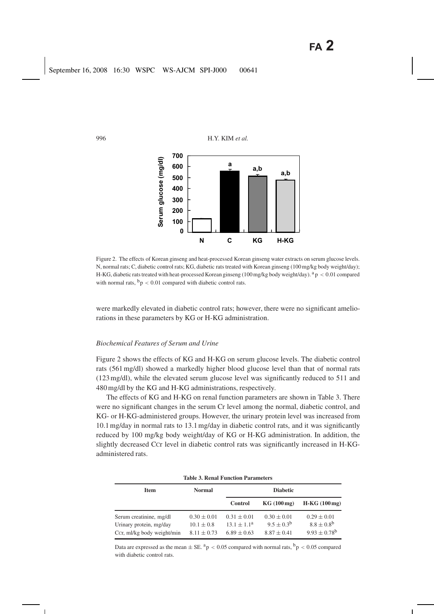

Figure 2. The effects of Korean ginseng and heat-processed Korean ginseng water extracts on serum glucose levels. N, normal rats; C, diabetic control rats; KG, diabetic rats treated with Korean ginseng (100 mg/kg body weight/day); H-KG, diabetic rats treated with heat-processed Korean ginseng (100 mg/kg body weight/day).  $a<sub>p</sub> < 0.01$  compared with normal rats,  $b_p < 0.01$  compared with diabetic control rats.

were markedly elevated in diabetic control rats; however, there were no significant ameliorations in these parameters by KG or H-KG administration.

#### *Biochemical Features of Serum and Urine*

Figure 2 shows the effects of KG and H-KG on serum glucose levels. The diabetic control rats (561 mg/dl) showed a markedly higher blood glucose level than that of normal rats (123 mg/dl), while the elevated serum glucose level was significantly reduced to 511 and 480 mg/dl by the KG and H-KG administrations, respectively.

The effects of KG and H-KG on renal function parameters are shown in Table 3. There were no significant changes in the serum Cr level among the normal, diabetic control, and KG- or H-KG-administered groups. However, the urinary protein level was increased from 10.1 mg/day in normal rats to 13.1 mg/day in diabetic control rats, and it was significantly reduced by 100 mg/kg body weight/day of KG or H-KG administration. In addition, the slightly decreased CCr level in diabetic control rats was significantly increased in H-KGadministered rats.

| Table 9. INTHAI T'UNNIUM T'ATAMNIN'I S |                 |                        |                       |                         |  |  |
|----------------------------------------|-----------------|------------------------|-----------------------|-------------------------|--|--|
| <b>Item</b>                            | <b>Normal</b>   | <b>Diabetic</b>        |                       |                         |  |  |
|                                        |                 | <b>Control</b>         | KG(100mg)             | $H-KG (100mg)$          |  |  |
| Serum creatinine, mg/dl                | $0.30 \pm 0.01$ | $0.31 \pm 0.01$        | $0.30 \pm 0.01$       | $0.29 \pm 0.01$         |  |  |
| Urinary protein, mg/day                | $10.1 \pm 0.8$  | $13.1 \pm 1.1^{\rm a}$ | $9.5 \pm 0.3^{\rm b}$ | $8.8 \pm 0.8^{b}$       |  |  |
| Ccr, ml/kg body weight/min             | $8.11 \pm 0.73$ | $6.89 \pm 0.63$        | $8.87 \pm 0.41$       | $9.93 \pm 0.78^{\rm b}$ |  |  |

**Table 3. Renal Function Parameters**

Data are expressed as the mean  $\pm$  SE.  $^{a}p$  < 0.05 compared with normal rats,  $^{b}p$  < 0.05 compared with diabetic control rats.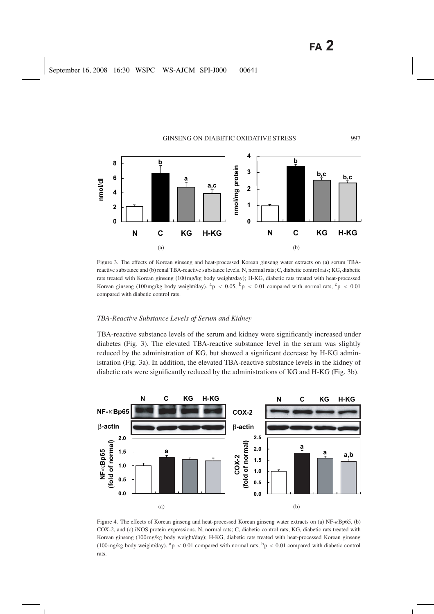

Figure 3. The effects of Korean ginseng and heat-processed Korean ginseng water extracts on (a) serum TBAreactive substance and (b) renal TBA-reactive substance levels. N, normal rats; C, diabetic control rats; KG, diabetic rats treated with Korean ginseng (100 mg/kg body weight/day); H-KG, diabetic rats treated with heat-processed Korean ginseng (100 mg/kg body weight/day).  $a_p < 0.05$ ,  $b_p < 0.01$  compared with normal rats,  $c_p < 0.01$ compared with diabetic control rats.

#### *TBA-Reactive Substance Levels of Serum and Kidney*

TBA-reactive substance levels of the serum and kidney were significantly increased under diabetes (Fig. 3). The elevated TBA-reactive substance level in the serum was slightly reduced by the administration of KG, but showed a significant decrease by H-KG administration (Fig. 3a). In addition, the elevated TBA-reactive substance levels in the kidney of diabetic rats were significantly reduced by the administrations of KG and H-KG (Fig. 3b).



Figure 4. The effects of Korean ginseng and heat-processed Korean ginseng water extracts on (a) NF-κBp65, (b) COX-2, and (c) iNOS protein expressions. N, normal rats; C, diabetic control rats; KG, diabetic rats treated with Korean ginseng (100 mg/kg body weight/day); H-KG, diabetic rats treated with heat-processed Korean ginseng (100 mg/kg body weight/day).  $a_p < 0.01$  compared with normal rats,  $b_p < 0.01$  compared with diabetic control rats.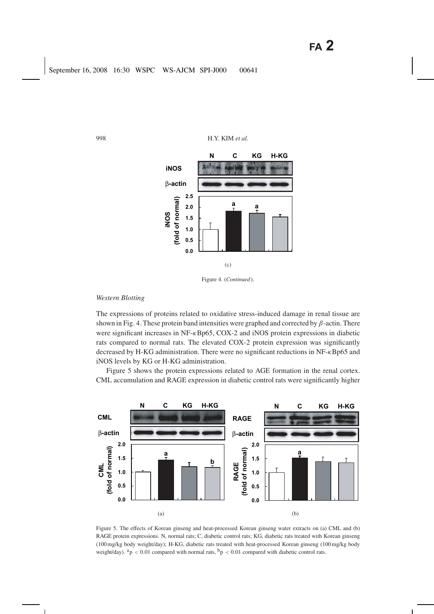

Figure 4. (*Continued* ).

## *Western Blotting*

The expressions of proteins related to oxidative stress-induced damage in renal tissue are shown in Fig. 4. These protein band intensities were graphed and corrected by  $\beta$ -actin. There were significant increases in NF-κBp65, COX-2 and iNOS protein expressions in diabetic rats compared to normal rats. The elevated COX-2 protein expression was significantly decreased by H-KG administration. There were no significant reductions in NF-κBp65 and iNOS levels by KG or H-KG administration.

Figure 5 shows the protein expressions related to AGE formation in the renal cortex. CML accumulation and RAGE expression in diabetic control rats were significantly higher



Figure 5. The effects of Korean ginseng and heat-processed Korean ginseng water extracts on (a) CML and (b) RAGE protein expressions. N, normal rats; C, diabetic control rats; KG, diabetic rats treated with Korean ginseng (100 mg/kg body weight/day); H-KG, diabetic rats treated with heat-processed Korean ginseng (100 mg/kg body weight/day).  $a_p < 0.01$  compared with normal rats,  $b_p < 0.01$  compared with diabetic control rats.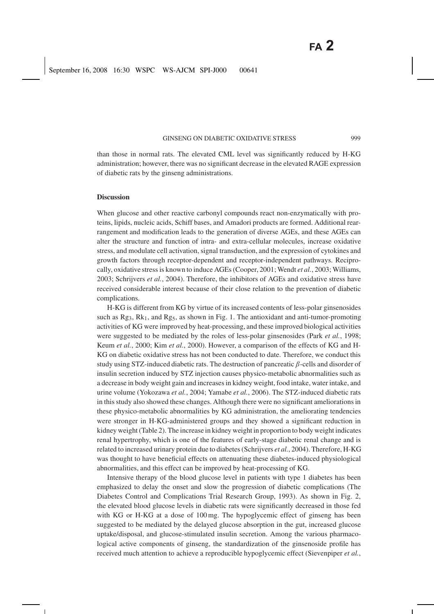than those in normal rats. The elevated CML level was significantly reduced by H-KG administration; however, there was no significant decrease in the elevated RAGE expression of diabetic rats by the ginseng administrations.

#### **Discussion**

When glucose and other reactive carbonyl compounds react non-enzymatically with proteins, lipids, nucleic acids, Schiff bases, and Amadori products are formed. Additional rearrangement and modification leads to the generation of diverse AGEs, and these AGEs can alter the structure and function of intra- and extra-cellular molecules, increase oxidative stress, and modulate cell activation, signal transduction, and the expression of cytokines and growth factors through receptor-dependent and receptor-independent pathways. Reciprocally, oxidative stress is known to induce AGEs (Cooper, 2001; Wendt *et al.*, 2003; Williams, 2003; Schrijvers *et al.*, 2004). Therefore, the inhibitors of AGEs and oxidative stress have received considerable interest because of their close relation to the prevention of diabetic complications.

H-KG is different from KG by virtue of its increased contents of less-polar ginsenosides such as  $Rg_3$ ,  $Rk_1$ , and  $Rg_5$ , as shown in Fig. 1. The antioxidant and anti-tumor-promoting activities of KG were improved by heat-processing, and these improved biological activities were suggested to be mediated by the roles of less-polar ginsenosides (Park *et al.*, 1998; Keum *et al.*, 2000; Kim *et al.*, 2000). However, a comparison of the effects of KG and H-KG on diabetic oxidative stress has not been conducted to date. Therefore, we conduct this study using STZ-induced diabetic rats. The destruction of pancreatic β-cells and disorder of insulin secretion induced by STZ injection causes physico-metabolic abnormalities such as a decrease in body weight gain and increases in kidney weight, food intake, water intake, and urine volume (Yokozawa *et al.*, 2004; Yamabe *et al.*, 2006). The STZ-induced diabetic rats in this study also showed these changes. Although there were no significant ameliorations in these physico-metabolic abnormalities by KG administration, the ameliorating tendencies were stronger in H-KG-administered groups and they showed a significant reduction in kidney weight (Table 2). The increase in kidney weight in proportion to body weight indicates renal hypertrophy, which is one of the features of early-stage diabetic renal change and is related to increased urinary protein due to diabetes (Schrijvers *et al.*, 2004). Therefore, H-KG was thought to have beneficial effects on attenuating these diabetes-induced physiological abnormalities, and this effect can be improved by heat-processing of KG.

Intensive therapy of the blood glucose level in patients with type 1 diabetes has been emphasized to delay the onset and slow the progression of diabetic complications (The Diabetes Control and Complications Trial Research Group, 1993). As shown in Fig. 2, the elevated blood glucose levels in diabetic rats were significantly decreased in those fed with KG or H-KG at a dose of 100 mg. The hypoglycemic effect of ginseng has been suggested to be mediated by the delayed glucose absorption in the gut, increased glucose uptake/disposal, and glucose-stimulated insulin secretion. Among the various pharmacological active components of ginseng, the standardization of the ginsenoside profile has received much attention to achieve a reproducible hypoglycemic effect (Sievenpiper *et al.*,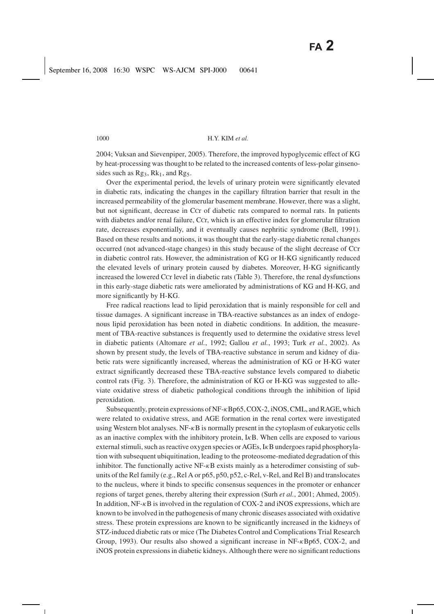2004; Vuksan and Sievenpiper, 2005). Therefore, the improved hypoglycemic effect of KG by heat-processing was thought to be related to the increased contents of less-polar ginsenosides such as  $Rg_3$ ,  $Rk_1$ , and  $Rg_5$ .

Over the experimental period, the levels of urinary protein were significantly elevated in diabetic rats, indicating the changes in the capillary filtration barrier that result in the increased permeability of the glomerular basement membrane. However, there was a slight, but not significant, decrease in CCr of diabetic rats compared to normal rats. In patients with diabetes and/or renal failure, CCr, which is an effective index for glomerular filtration rate, decreases exponentially, and it eventually causes nephritic syndrome (Bell, 1991). Based on these results and notions, it was thought that the early-stage diabetic renal changes occurred (not advanced-stage changes) in this study because of the slight decrease of CCr in diabetic control rats. However, the administration of KG or H-KG significantly reduced the elevated levels of urinary protein caused by diabetes. Moreover, H-KG significantly increased the lowered CCr level in diabetic rats (Table 3). Therefore, the renal dysfunctions in this early-stage diabetic rats were ameliorated by administrations of KG and H-KG, and more significantly by H-KG.

Free radical reactions lead to lipid peroxidation that is mainly responsible for cell and tissue damages. A significant increase in TBA-reactive substances as an index of endogenous lipid peroxidation has been noted in diabetic conditions. In addition, the measurement of TBA-reactive substances is frequently used to determine the oxidative stress level in diabetic patients (Altomare *et al.*, 1992; Gallou *et al.*, 1993; Turk *et al.*, 2002). As shown by present study, the levels of TBA-reactive substance in serum and kidney of diabetic rats were significantly increased, whereas the administration of KG or H-KG water extract significantly decreased these TBA-reactive substance levels compared to diabetic control rats (Fig. 3). Therefore, the administration of KG or H-KG was suggested to alleviate oxidative stress of diabetic pathological conditions through the inhibition of lipid peroxidation.

Subsequently, protein expressions of NF-κBp65, COX-2, iNOS, CML, and RAGE, which were related to oxidative stress, and AGE formation in the renal cortex were investigated using Western blot analyses. NF- $\kappa$ B is normally present in the cytoplasm of eukaryotic cells as an inactive complex with the inhibitory protein, IκB. When cells are exposed to various external stimuli, such as reactive oxygen species or AGEs, I<sub>K</sub>B undergoes rapid phosphorylation with subsequent ubiquitination, leading to the proteosome-mediated degradation of this inhibitor. The functionally active NF-κB exists mainly as a heterodimer consisting of subunits of the Rel family (e.g., Rel A or p65, p50, p52, c-Rel, v-Rel, and Rel B) and translocates to the nucleus, where it binds to specific consensus sequences in the promoter or enhancer regions of target genes, thereby altering their expression (Surh *et al.*, 2001; Ahmed, 2005). In addition, NF-κB is involved in the regulation of COX-2 and iNOS expressions, which are known to be involved in the pathogenesis of many chronic diseases associated with oxidative stress. These protein expressions are known to be significantly increased in the kidneys of STZ-induced diabetic rats or mice (The Diabetes Control and Complications Trial Research Group, 1993). Our results also showed a significant increase in NF-κBp65, COX-2, and iNOS protein expressions in diabetic kidneys. Although there were no significant reductions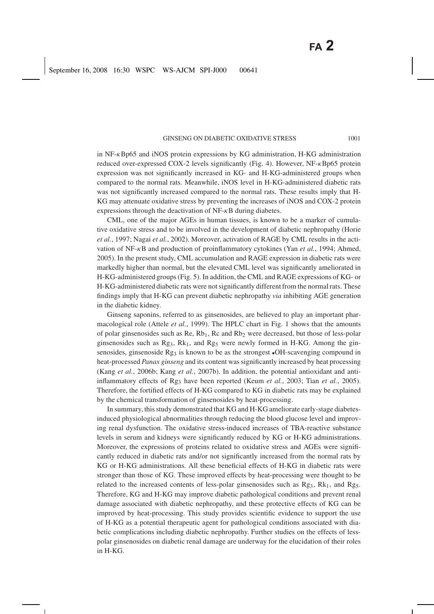in  $NF-\kappa Bp65$  and iNOS protein expressions by KG administration, H-KG administration reduced over-expressed COX-2 levels significantly (Fig. 4). However, NF-κBp65 protein expression was not significantly increased in KG- and H-KG-administered groups when compared to the normal rats. Meanwhile, iNOS level in H-KG-administered diabetic rats was not significantly increased compared to the normal rats. These results imply that H-KG may attenuate oxidative stress by preventing the increases of iNOS and COX-2 protein expressions through the deactivation of  $NF - \kappa B$  during diabetes.

CML, one of the major AGEs in human tissues, is known to be a marker of cumulative oxidative stress and to be involved in the development of diabetic nephropathy (Horie *et al.*, 1997; Nagai *et al.*, 2002). Moreover, activation of RAGE by CML results in the activation of NF-κB and production of proinflammatory cytokines (Yan *et al.*, 1994; Ahmed, 2005). In the present study, CML accumulation and RAGE expression in diabetic rats were markedly higher than normal, but the elevated CML level was significantly ameliorated in H-KG-administered groups (Fig. 5). In addition, the CML and RAGE expressions of KG- or H-KG-administered diabetic rats were not significantly different from the normal rats. These findings imply that H-KG can prevent diabetic nephropathy *via* inhibiting AGE generation in the diabetic kidney.

Ginseng saponins, referred to as ginsenosides, are believed to play an important pharmacological role (Attele *et al.*, 1999). The HPLC chart in Fig. 1 shows that the amounts of polar ginsenosides such as  $\text{Re}, \text{Rb}_1, \text{Rc}$  and  $\text{Rb}_2$  were decreased, but those of less-polar ginsenosides such as  $Rg_3$ ,  $Rk_1$ , and  $Rg_5$  were newly formed in H-KG. Among the ginsenosides, ginsenoside Rg<sub>3</sub> is known to be as the strongest •OH-scavenging compound in heat-processed *Panax ginseng* and its content was significantly increased by heat processing (Kang *et al.*, 2006b; Kang *et al.*, 2007b). In addition, the potential antioxidant and antiinflammatory effects of Rg3 have been reported (Keum *et al.*, 2003; Tian *et al.*, 2005). Therefore, the fortified effects of H-KG compared to KG in diabetic rats may be explained by the chemical transformation of ginsenosides by heat-processing.

In summary, this study demonstrated that KG and H-KG ameliorate early-stage diabetesinduced physiological abnormalities through reducing the blood glucose level and improving renal dysfunction. The oxidative stress-induced increases of TBA-reactive substance levels in serum and kidneys were significantly reduced by KG or H-KG administrations. Moreover, the expressions of proteins related to oxidative stress and AGEs were significantly reduced in diabetic rats and/or not significantly increased from the normal rats by KG or H-KG administrations. All these beneficial effects of H-KG in diabetic rats were stronger than those of KG. These improved effects by heat-processing were thought to be related to the increased contents of less-polar ginsenosides such as  $Rg_3$ ,  $Rk_1$ , and  $Rg_5$ . Therefore, KG and H-KG may improve diabetic pathological conditions and prevent renal damage associated with diabetic nephropathy, and these protective effects of KG can be improved by heat-processing. This study provides scientific evidence to support the use of H-KG as a potential therapeutic agent for pathological conditions associated with diabetic complications including diabetic nephropathy. Further studies on the effects of lesspolar ginsenosides on diabetic renal damage are underway for the elucidation of their roles in H-KG.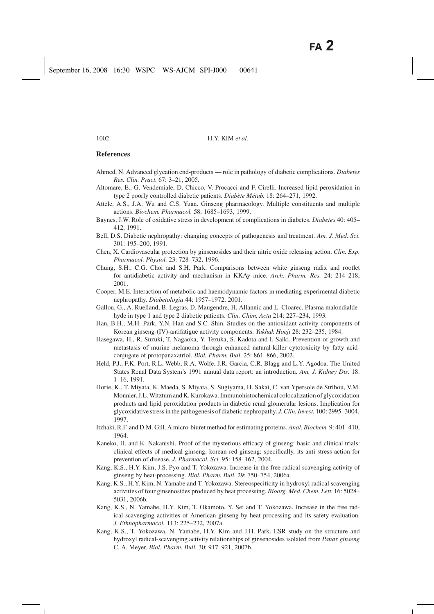# **References**

- Ahmed, N. Advanced glycation end-products role in pathology of diabetic complications. *Diabetes Res. Clin. Pract.* 67: 3–21, 2005.
- Altomare, E., G. Vendemiale, D. Chicco, V. Procacci and F. Cirelli. Increased lipid peroxidation in type 2 poorly controlled diabetic patients. *Diabète Métab.* 18: 264–271, 1992.
- Attele, A.S., J.A. Wu and C.S. Yuan. Ginseng pharmacology. Multiple constituents and multiple actions. *Biochem. Pharmacol.* 58: 1685–1693, 1999.
- Baynes, J.W. Role of oxidative stress in development of complications in diabetes. *Diabetes* 40: 405– 412, 1991.
- Bell, D.S. Diabetic nephropathy: changing concepts of pathogenesis and treatment. *Am. J. Med. Sci.* 301: 195–200, 1991.
- Chen, X. Cardiovascular protection by ginsenosides and their nitric oxide releasing action. *Clin. Exp. Pharmacol. Physiol.* 23: 728–732, 1996.
- Chung, S.H., C.G. Choi and S.H. Park. Comparisons between white ginseng radix and rootlet for antidiabetic activity and mechanism in KKAy mice. *Arch. Pharm. Res.* 24: 214–218, 2001.
- Cooper, M.E. Interaction of metabolic and haemodynamic factors in mediating experimental diabetic nephropathy. *Diabetologia* 44: 1957–1972, 2001.
- Gallou, G., A. Ruelland, B. Legras, D. Maugendre, H. Allannic and L. Cloarec. Plasma malondialdehyde in type 1 and type 2 diabetic patients. *Clin. Chim. Acta* 214: 227–234, 1993.
- Han, B.H., M.H. Park, Y.N. Han and S.C. Shin. Studies on the antioxidant activity components of Korean ginseng-(IV)-antifatigue activity components. *Yakhak Hoeji* 28: 232–235, 1984.
- Hasegawa, H., R. Suzuki, T. Nagaoka, Y. Tezuka, S. Kadota and I. Saiki. Prevention of growth and metastasis of murine melanoma through enhanced natural-killer cytotoxicity by fatty acidconjugate of protopanaxatriol. *Biol. Pharm. Bull.* 25: 861–866, 2002.
- Held, P.J., F.K. Port, R.L. Webb, R.A. Wolfe, J.R. Garcia, C.R. Blagg and L.Y. Agodoa. The United States Renal Data System's 1991 annual data report: an introduction. *Am. J. Kidney Dis.* 18: 1–16, 1991.
- Horie, K., T. Miyata, K. Maeda, S. Miyata, S. Sugiyama, H. Sakai, C. van Ypersole de Strihou, V.M. Monnier, J.L. Witztum and K. Kurokawa. Immunohistochemical colocalization of glycoxidation products and lipid peroxidation products in diabetic renal glomerular lesions. Implication for glycoxidative stress in the pathogenesis of diabetic nephropathy. *J. Clin. Invest.* 100: 2995–3004, 1997.
- Itzhaki, R.F. and D.M. Gill. A micro-biuret method for estimating proteins. *Anal. Biochem.* 9: 401–410, 1964.
- Kaneko, H. and K. Nakanishi. Proof of the mysterious efficacy of ginseng: basic and clinical trials: clinical effects of medical ginseng, korean red ginseng: specifically, its anti-stress action for prevention of disease. *J. Pharmacol. Sci.* 95: 158–162, 2004.
- Kang, K.S., H.Y. Kim, J.S. Pyo and T. Yokozawa. Increase in the free radical scavenging activity of ginseng by heat-processing. *Biol. Pharm. Bull.* 29: 750–754, 2006a.
- Kang, K.S., H.Y. Kim, N. Yamabe and T. Yokozawa. Stereospecificity in hydroxyl radical scavenging activities of four ginsenosides produced by heat processing. *Bioorg. Med. Chem. Lett.* 16: 5028– 5031, 2006b.
- Kang, K.S., N. Yamabe, H.Y. Kim, T. Okamoto, Y. Sei and T. Yokozawa. Increase in the free radical scavenging activities of American ginseng by heat processing and its safety evaluation. *J. Ethnopharmacol.* 113: 225–232, 2007a.
- Kang, K.S., T. Yokozawa, N. Yamabe, H.Y. Kim and J.H. Park. ESR study on the structure and hydroxyl radical-scavenging activity relationships of ginsenosides isolated from *Panax ginseng* C. A. Meyer. *Biol. Pharm. Bull.* 30: 917–921, 2007b.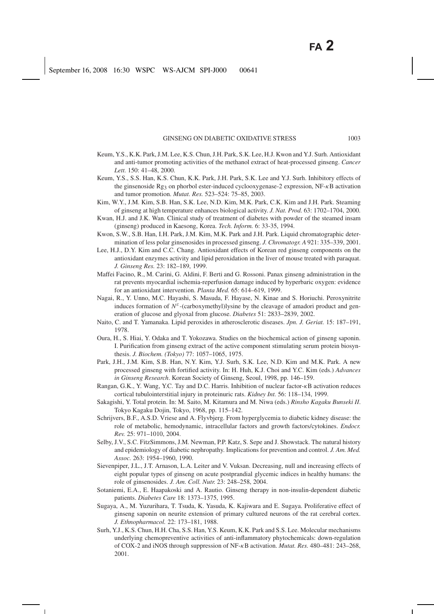- Keum, Y.S., K.K. Park, J.M. Lee, K.S. Chun, J.H. Park, S.K. Lee, H.J. Kwon and Y.J. Surh. Antioxidant and anti-tumor promoting activities of the methanol extract of heat-processed ginseng. *Cancer Lett.* 150: 41–48, 2000.
- Keum, Y.S., S.S. Han, K.S. Chun, K.K. Park, J.H. Park, S.K. Lee and Y.J. Surh. Inhibitory effects of the ginsenoside Rg<sub>3</sub> on phorbol ester-induced cyclooxygenase-2 expression, NF-κB activation and tumor promotion. *Mutat. Res.* 523–524: 75–85, 2003.
- Kim, W.Y., J.M. Kim, S.B. Han, S.K. Lee, N.D. Kim, M.K. Park, C.K. Kim and J.H. Park. Steaming of ginseng at high temperature enhances biological activity. *J. Nat. Prod.* 63: 1702–1704, 2000.
- Kwan, H.J. and J.K. Wan. Clinical study of treatment of diabetes with powder of the steamed insam (ginseng) produced in Kaesong, Korea. *Tech. Inform.* 6: 33-35, 1994.
- Kwon, S.W., S.B. Han, I.H. Park, J.M. Kim, M.K. Park and J.H. Park. Liquid chromatographic determination of less polar ginsenosides in processed ginseng. *J. Chromatogr. A* 921: 335–339, 2001.
- Lee, H.J., D.Y. Kim and C.C. Chang. Antioxidant effects of Korean red ginseng components on the antioxidant enzymes activity and lipid peroxidation in the liver of mouse treated with paraquat. *J. Ginseng Res.* 23: 182–189, 1999.
- Maffei Facino, R., M. Carini, G. Aldini, F. Berti and G. Rossoni. Panax ginseng administration in the rat prevents myocardial ischemia-reperfusion damage induced by hyperbaric oxygen: evidence for an antioxidant intervention. *Planta Med.* 65: 614–619, 1999.
- Nagai, R., Y. Unno, M.C. Hayashi, S. Masuda, F. Hayase, N. Kinae and S. Horiuchi. Peroxynitrite induces formation of  $N^{\varepsilon}$ -(carboxymethyl)lysine by the cleavage of amadori product and generation of glucose and glyoxal from glucose. *Diabetes* 51: 2833–2839, 2002.
- Naito, C. and T. Yamanaka. Lipid peroxides in atherosclerotic diseases. *Jpn. J. Geriat.* 15: 187–191, 1978.
- Oura, H., S. Hiai, Y. Odaka and T. Yokozawa. Studies on the biochemical action of ginseng saponin. I. Purification from ginseng extract of the active component stimulating serum protein biosynthesis. *J. Biochem. (Tokyo)* 77: 1057–1065, 1975.
- Park, J.H., J.M. Kim, S.B. Han, N.Y. Kim, Y.J. Surh, S.K. Lee, N.D. Kim and M.K. Park. A new processed ginseng with fortified activity. In: H. Huh, K.J. Choi and Y.C. Kim (eds.) *Advances in Ginseng Research*. Korean Society of Ginseng, Seoul, 1998, pp. 146–159.
- Rangan, G.K., Y. Wang, Y.C. Tay and D.C. Harris. Inhibition of nuclear factor-κB activation reduces cortical tubulointerstitial injury in proteinuric rats. *Kidney Int.* 56: 118–134, 1999.
- Sakagishi, Y. Total protein. In: M. Saito, M. Kitamura and M. Niwa (eds.) *Rinsho Kagaku Bunseki II*. Tokyo Kagaku Dojin, Tokyo, 1968, pp. 115–142.
- Schrijvers, B.F., A.S.D. Vriese and A. Flyvbjerg. From hyperglycemia to diabetic kidney disease: the role of metabolic, hemodynamic, intracellular factors and growth factors/cytokines. *Endocr. Rev.* 25: 971–1010, 2004.
- Selby, J.V., S.C. FitzSimmons, J.M. Newman, P.P. Katz, S. Sepe and J. Showstack. The natural history and epidemiology of diabetic nephropathy. Implications for prevention and control. *J. Am. Med. Assoc.* 263: 1954–1960, 1990.
- Sievenpiper, J.L., J.T. Arnason, L.A. Leiter and V. Vuksan. Decreasing, null and increasing effects of eight popular types of ginseng on acute postprandial glycemic indices in healthy humans: the role of ginsenosides. *J. Am. Coll. Nutr.* 23: 248–258, 2004.
- Sotaniemi, E.A., E. Haapakoski and A. Rautio. Ginseng therapy in non-insulin-dependent diabetic patients. *Diabetes Care* 18: 1373–1375, 1995.
- Sugaya, A., M. Yuzurihara, T. Tsuda, K. Yasuda, K. Kajiwara and E. Sugaya. Proliferative effect of ginseng saponin on neurite extension of primary cultured neurons of the rat cerebral cortex. *J. Ethnopharmacol.* 22: 173–181, 1988.
- Surh, Y.J., K.S. Chun, H.H. Cha, S.S. Han, Y.S. Keum, K.K. Park and S.S. Lee. Molecular mechanisms underlying chemopreventive activities of anti-inflammatory phytochemicals: down-regulation of COX-2 and iNOS through suppression of NF-κB activation. *Mutat. Res.* 480–481: 243–268, 2001.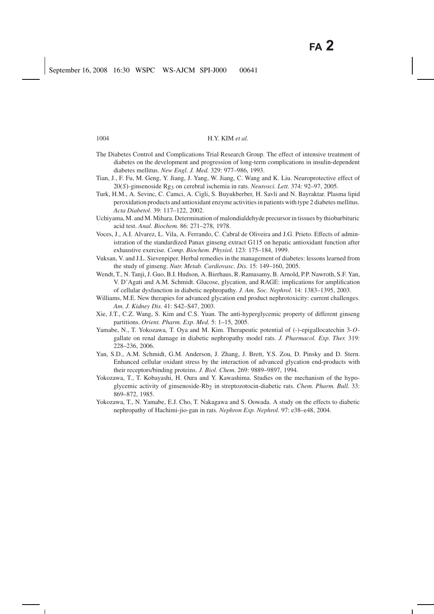- The Diabetes Control and Complications Trial Research Group. The effect of intensive treatment of diabetes on the development and progression of long-term complications in insulin-dependent diabetes mellitus. *New Engl. J. Med.* 329: 977–986, 1993.
- Tian, J., F. Fu, M. Geng, Y. Jiang, J. Yang, W. Jiang, C. Wang and K. Liu. Neuroprotective effect of 20(*S*)-ginsenoside Rg3 on cerebral ischemia in rats. *Neurosci. Lett.* 374: 92–97, 2005.
- Turk, H.M., A. Sevinc, C. Camci, A. Cigli, S. Buyukberber, H. Savli and N. Bayraktar. Plasma lipid peroxidation products and antioxidant enzyme activities in patients with type 2 diabetes mellitus. *Acta Diabetol.* 39: 117–122, 2002.
- Uchiyama, M. and M. Mihara. Determination of malondialdehyde precursor in tissues by thiobarbituric acid test. *Anal. Biochem.* 86: 271–278, 1978.
- Voces, J., A.I. Alvarez, L. Vila, A. Ferrando, C. Cabral de Oliveira and J.G. Prieto. Effects of administration of the standardized Panax ginseng extract G115 on hepatic antioxidant function after exhaustive exercise. *Comp. Biochem. Physiol.* 123: 175–184, 1999.
- Vuksan, V. and J.L. Sievenpiper. Herbal remedies in the management of diabetes: lessons learned from the study of ginseng. *Nutr. Metab. Cardiovasc. Dis.* 15: 149–160, 2005.
- Wendt, T., N. Tanji, J. Guo, B.I. Hudson, A. Bierhaus, R. Ramasamy, B. Arnold, P.P. Nawroth, S.F. Yan, V. D'Agati and A.M. Schmidt. Glucose, glycation, and RAGE: implications for amplification of cellular dysfunction in diabetic nephropathy. *J. Am. Soc. Nephrol.* 14: 1383–1395, 2003.
- Williams, M.E. New therapies for advanced glycation end product nephrotoxicity: current challenges. *Am. J. Kidney Dis.* 41: S42–S47, 2003.
- Xie, J.T., C.Z. Wang, S. Kim and C.S. Yuan. The anti-hyperglycemic property of different ginseng partitions. *Orient. Pharm. Exp. Med.* 5: 1–15, 2005.
- Yamabe, N., T. Yokozawa, T. Oya and M. Kim. Therapeutic potential of (-)-epigallocatechin 3-*O*gallate on renal damage in diabetic nephropathy model rats. *J. Pharmacol. Exp. Ther.* 319: 228–236, 2006.
- Yan, S.D., A.M. Schmidt, G.M. Anderson, J. Zhang, J. Brett, Y.S. Zou, D. Pinsky and D. Stern. Enhanced cellular oxidant stress by the interaction of advanced glycation end-products with their receptors/binding proteins. *J. Biol. Chem.* 269: 9889–9897, 1994.
- Yokozawa, T., T. Kobayashi, H. Oura and Y. Kawashima. Studies on the mechanism of the hypoglycemic activity of ginsenoside-Rb<sub>2</sub> in streptozotocin-diabetic rats. *Chem. Pharm. Bull.* 33: 869–872, 1985.
- Yokozawa, T., N. Yamabe, E.J. Cho, T. Nakagawa and S. Oowada. A study on the effects to diabetic nephropathy of Hachimi-jio-gan in rats. *Nephron Exp. Nephrol.* 97: e38–e48, 2004.